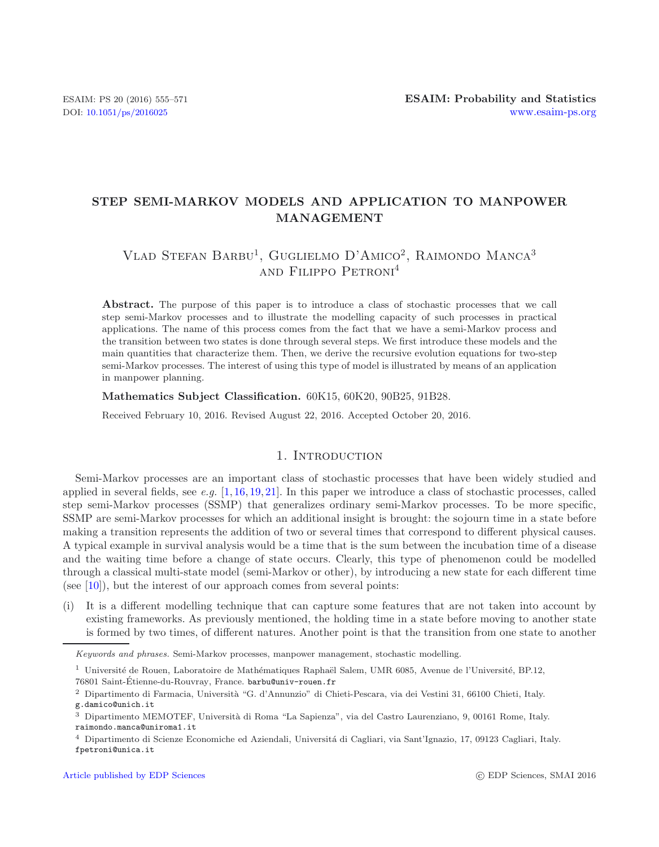# **STEP SEMI-MARKOV MODELS AND APPLICATION TO MANPOWER MANAGEMENT**

# VLAD STEFAN BARBU<sup>1</sup>, GUGLIELMO D'AMICO<sup>2</sup>, RAIMONDO MANCA<sup>3</sup> and Filippo Petroni<sup>4</sup>

**Abstract.** The purpose of this paper is to introduce a class of stochastic processes that we call step semi-Markov processes and to illustrate the modelling capacity of such processes in practical applications. The name of this process comes from the fact that we have a semi-Markov process and the transition between two states is done through several steps. We first introduce these models and the main quantities that characterize them. Then, we derive the recursive evolution equations for two-step semi-Markov processes. The interest of using this type of model is illustrated by means of an application in manpower planning.

#### **Mathematics Subject Classification.** 60K15, 60K20, 90B25, 91B28.

Received February 10, 2016. Revised August 22, 2016. Accepted October 20, 2016.

# 1. INTRODUCTION

Semi-Markov processes are an important class of stochastic processes that have been widely studied and applied in several fields, see *e.g.* [\[1,](#page-16-0) [16,](#page-16-1) [19,](#page-16-2) [21\]](#page-16-3). In this paper we introduce a class of stochastic processes, called step semi-Markov processes (SSMP) that generalizes ordinary semi-Markov processes. To be more specific, SSMP are semi-Markov processes for which an additional insight is brought: the sojourn time in a state before making a transition represents the addition of two or several times that correspond to different physical causes. A typical example in survival analysis would be a time that is the sum between the incubation time of a disease and the waiting time before a change of state occurs. Clearly, this type of phenomenon could be modelled through a classical multi-state model (semi-Markov or other), by introducing a new state for each different time (see  $[10]$ ), but the interest of our approach comes from several points:

(i) It is a different modelling technique that can capture some features that are not taken into account by existing frameworks. As previously mentioned, the holding time in a state before moving to another state is formed by two times, of different natures. Another point is that the transition from one state to another

*Keywords and phrases.* Semi-Markov processes, manpower management, stochastic modelling.

 $^{\rm 1}$ Université de Rouen, Laboratoire de Mathématiques Raphaël Salem, UMR 6085, Avenue de l'Université, BP.12, 76801 Saint-Étienne-du-Rouvray, France. barbu@univ-rouen.fr

 $^2$  Dipartimento di Farmacia, Università "G. d'Annunzio" di Chieti-Pescara, via dei Vestini 31, 66100 Chieti, Italy.

g.damico@unich.it

<sup>&</sup>lt;sup>3</sup> Dipartimento MEMOTEF, Università di Roma "La Sapienza", via del Castro Laurenziano, 9, 00161 Rome, Italy. raimondo.manca@uniroma1.it

<sup>&</sup>lt;sup>4</sup> Dipartimento di Scienze Economiche ed Aziendali, Università di Cagliari, via Sant'Ignazio, 17, 09123 Cagliari, Italy. fpetroni@unica.it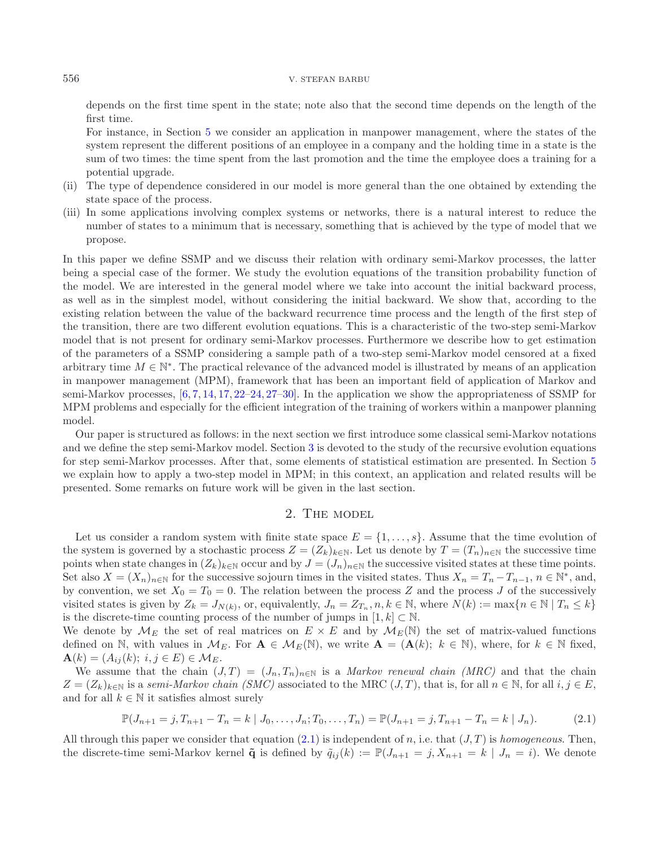depends on the first time spent in the state; note also that the second time depends on the length of the first time.

For instance, in Section [5](#page-9-0) we consider an application in manpower management, where the states of the system represent the different positions of an employee in a company and the holding time in a state is the sum of two times: the time spent from the last promotion and the time the employee does a training for a potential upgrade.

- (ii) The type of dependence considered in our model is more general than the one obtained by extending the state space of the process.
- (iii) In some applications involving complex systems or networks, there is a natural interest to reduce the number of states to a minimum that is necessary, something that is achieved by the type of model that we propose.

In this paper we define SSMP and we discuss their relation with ordinary semi-Markov processes, the latter being a special case of the former. We study the evolution equations of the transition probability function of the model. We are interested in the general model where we take into account the initial backward process, as well as in the simplest model, without considering the initial backward. We show that, according to the existing relation between the value of the backward recurrence time process and the length of the first step of the transition, there are two different evolution equations. This is a characteristic of the two-step semi-Markov model that is not present for ordinary semi-Markov processes. Furthermore we describe how to get estimation of the parameters of a SSMP considering a sample path of a two-step semi-Markov model censored at a fixed arbitrary time  $M \in \mathbb{N}^*$ . The practical relevance of the advanced model is illustrated by means of an application in manpower management (MPM), framework that has been an important field of application of Markov and semi-Markov processes,  $[6, 7, 14, 17, 22-24, 27-30]$  $[6, 7, 14, 17, 22-24, 27-30]$  $[6, 7, 14, 17, 22-24, 27-30]$  $[6, 7, 14, 17, 22-24, 27-30]$  $[6, 7, 14, 17, 22-24, 27-30]$  $[6, 7, 14, 17, 22-24, 27-30]$  $[6, 7, 14, 17, 22-24, 27-30]$  $[6, 7, 14, 17, 22-24, 27-30]$  $[6, 7, 14, 17, 22-24, 27-30]$  $[6, 7, 14, 17, 22-24, 27-30]$  $[6, 7, 14, 17, 22-24, 27-30]$  $[6, 7, 14, 17, 22-24, 27-30]$ . In the application we show the appropriateness of SSMP for MPM problems and especially for the efficient integration of the training of workers within a manpower planning model.

Our paper is structured as follows: in the next section we first introduce some classical semi-Markov notations and we define the step semi-Markov model. Section [3](#page-5-0) is devoted to the study of the recursive evolution equations for step semi-Markov processes. After that, some elements of statistical estimation are presented. In Section [5](#page-9-0) we explain how to apply a two-step model in MPM; in this context, an application and related results will be presented. Some remarks on future work will be given in the last section.

#### <span id="page-1-0"></span>2. The model

Let us consider a random system with finite state space  $E = \{1, \ldots, s\}$ . Assume that the time evolution of the system is governed by a stochastic process  $Z = (Z_k)_{k \in \mathbb{N}}$ . Let us denote by  $T = (T_n)_{n \in \mathbb{N}}$  the successive time points when state changes in  $(Z_k)_{k\in\mathbb{N}}$  occur and by  $J = (J_n)_{n\in\mathbb{N}}$  the successive visited states at these time points. Set also  $X = (X_n)_{n \in \mathbb{N}}$  for the successive sojourn times in the visited states. Thus  $X_n = T_n - T_{n-1}$ ,  $n \in \mathbb{N}^*$ , and, by convention, we set  $X_0 = T_0 = 0$ . The relation between the process Z and the process J of the successively visited states is given by  $Z_k = J_{N(k)}$ , or, equivalently,  $J_n = Z_{T_n}, n, k \in \mathbb{N}$ , where  $N(k) := \max\{n \in \mathbb{N} \mid T_n \leq k\}$ is the discrete-time counting process of the number of jumps in  $[1, k] \subset \mathbb{N}$ .

We denote by  $\mathcal{M}_E$  the set of real matrices on  $E \times E$  and by  $\mathcal{M}_E(\mathbb{N})$  the set of matrix-valued functions defined on N, with values in  $\mathcal{M}_E$ . For  $\mathbf{A} \in \mathcal{M}_E(\mathbb{N})$ , we write  $\mathbf{A} = (\mathbf{A}(k); k \in \mathbb{N})$ , where, for  $k \in \mathbb{N}$  fixed,  ${\bf A}(k)=(A_{ij}(k);\; i,j\in E)\in {\cal M}_E.$ 

We assume that the chain  $(J, T) = (J_n, T_n)_{n \in \mathbb{N}}$  is a *Markov renewal chain (MRC)* and that the chain  $Z = (Z_k)_{k \in \mathbb{N}}$  is a *semi-Markov chain (SMC)* associated to the MRC  $(J, T)$ , that is, for all  $n \in \mathbb{N}$ , for all  $i, j \in E$ , and for all  $k \in \mathbb{N}$  it satisfies almost surely

$$
\mathbb{P}(J_{n+1}=j, T_{n+1}-T_n=k \mid J_0,\ldots,J_n; T_0,\ldots,T_n)=\mathbb{P}(J_{n+1}=j, T_{n+1}-T_n=k \mid J_n).
$$
 (2.1)

All through this paper we consider that equation  $(2.1)$  is independent of n, i.e. that  $(J, T)$  is *homogeneous*. Then, the discrete-time semi-Markov kernel  $\tilde{\mathbf{q}}$  is defined by  $\tilde{q}_{ij}(k) := \mathbb{P}(J_{n+1} = j, X_{n+1} = k | J_n = i)$ . We denote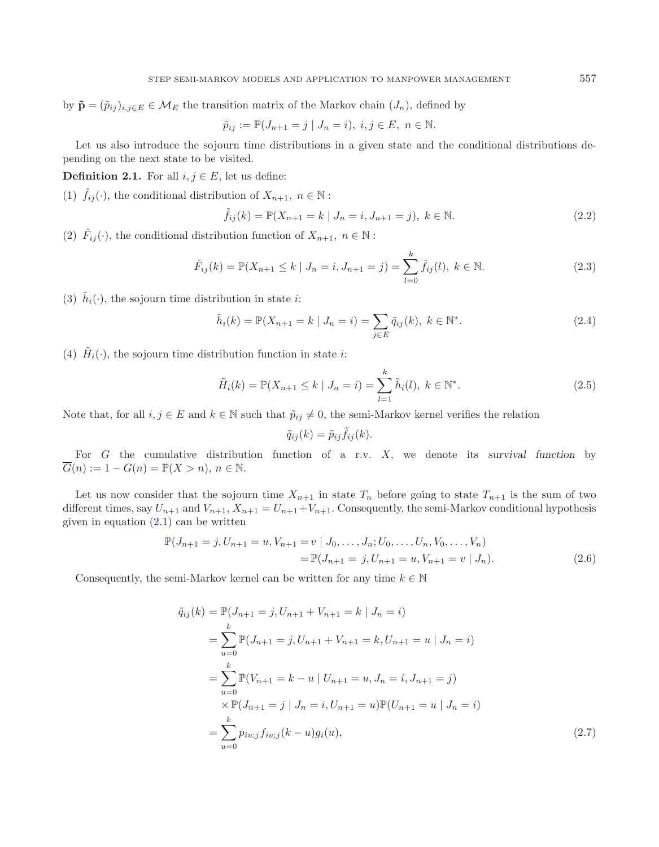by  $\tilde{\mathbf{p}} = (\tilde{p}_{ij})_{i,j \in E} \in \mathcal{M}_E$  the transition matrix of the Markov chain  $(J_n)$ , defined by

$$
\tilde{p}_{ij} := \mathbb{P}(J_{n+1} = j | J_n = i), i, j \in E, n \in \mathbb{N}.
$$

Let us also introduce the sojourn time distributions in a given state and the conditional distributions depending on the next state to be visited.

**Definition 2.1.** For all  $i, j \in E$ , let us define:

(1)  $\tilde{f}_{ij}(\cdot)$ , the conditional distribution of  $X_{n+1}, n \in \mathbb{N}$ :

$$
\tilde{f}_{ij}(k) = \mathbb{P}(X_{n+1} = k \mid J_n = i, J_{n+1} = j), \ k \in \mathbb{N}.
$$
\n(2.2)

(2)  $\tilde{F}_{ij}(\cdot)$ , the conditional distribution function of  $X_{n+1}, n \in \mathbb{N}$ :

$$
\tilde{F}_{ij}(k) = \mathbb{P}(X_{n+1} \le k \mid J_n = i, J_{n+1} = j) = \sum_{l=0}^{k} \tilde{f}_{ij}(l), \ k \in \mathbb{N}.
$$
\n(2.3)

(3)  $\tilde{h}_i(\cdot)$ , the sojourn time distribution in state *i*:

$$
\tilde{h}_i(k) = \mathbb{P}(X_{n+1} = k | J_n = i) = \sum_{j \in E} \tilde{q}_{ij}(k), \ k \in \mathbb{N}^*.
$$
\n(2.4)

(4)  $\tilde{H}_i(\cdot)$ , the sojourn time distribution function in state *i*:

$$
\tilde{H}_i(k) = \mathbb{P}(X_{n+1} \le k \mid J_n = i) = \sum_{l=1}^k \tilde{h}_i(l), \ k \in \mathbb{N}^*.
$$
\n(2.5)

Note that, for all  $i, j \in E$  and  $k \in \mathbb{N}$  such that  $\tilde{p}_{ij} \neq 0$ , the semi-Markov kernel verifies the relation

$$
\tilde{q}_{ij}(k) = \tilde{p}_{ij}\tilde{f}_{ij}(k).
$$

For G the cumulative distribution function of a r.v. X, we denote its *survival function* by  $\overline{G}(n) := 1 - G(n) = \mathbb{P}(X > n), n \in \mathbb{N}.$ 

Let us now consider that the sojourn time  $X_{n+1}$  in state  $T_n$  before going to state  $T_{n+1}$  is the sum of two different times, say  $U_{n+1}$  and  $V_{n+1}$ ,  $X_{n+1} = U_{n+1} + V_{n+1}$ . Consequently, the semi-Markov conditional hypothesis given in equation  $(2.1)$  can be written

$$
\mathbb{P}(J_{n+1} = j, U_{n+1} = u, V_{n+1} = v \mid J_0, \dots, J_n; U_0, \dots, U_n, V_0, \dots, V_n)
$$
  
= 
$$
\mathbb{P}(J_{n+1} = j, U_{n+1} = u, V_{n+1} = v \mid J_n).
$$
 (2.6)

<span id="page-2-0"></span>Consequently, the semi-Markov kernel can be written for any time  $k \in \mathbb{N}$ 

$$
\tilde{q}_{ij}(k) = \mathbb{P}(J_{n+1} = j, U_{n+1} + V_{n+1} = k | J_n = i)
$$
\n
$$
= \sum_{u=0}^{k} \mathbb{P}(J_{n+1} = j, U_{n+1} + V_{n+1} = k, U_{n+1} = u | J_n = i)
$$
\n
$$
= \sum_{u=0}^{k} \mathbb{P}(V_{n+1} = k - u | U_{n+1} = u, J_n = i, J_{n+1} = j)
$$
\n
$$
\times \mathbb{P}(J_{n+1} = j | J_n = i, U_{n+1} = u) \mathbb{P}(U_{n+1} = u | J_n = i)
$$
\n
$$
= \sum_{u=0}^{k} p_{iu;j} f_{iu;j}(k - u) g_i(u), \tag{2.7}
$$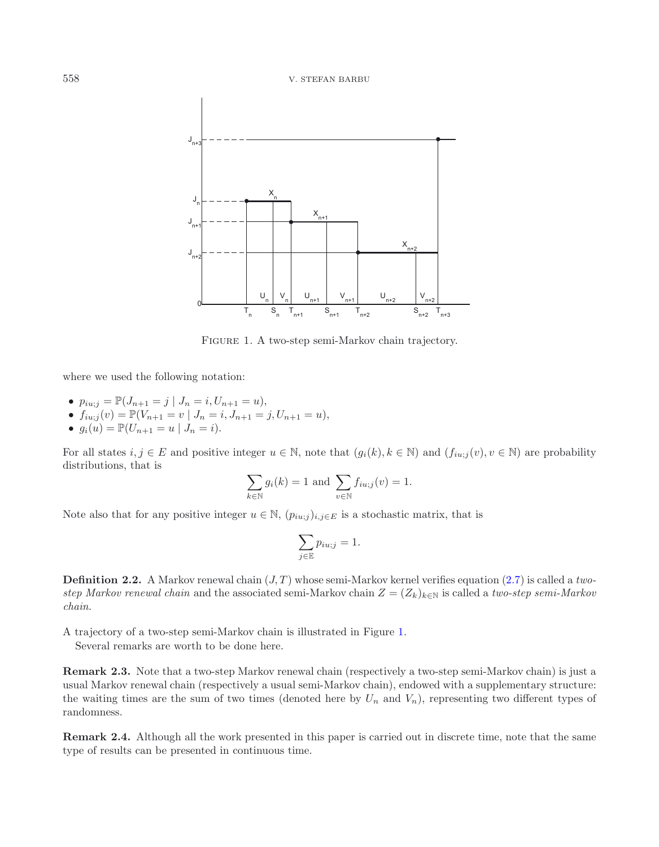<span id="page-3-0"></span>

Figure 1. A two-step semi-Markov chain trajectory.

where we used the following notation:

- $p_{iu;j} = \mathbb{P}(J_{n+1} = j \mid J_n = i, U_{n+1} = u),$ <br>•  $f_{i+1}(u) = \mathbb{P}(V_{i+1} = v \mid J_i = i, I_{i+1} = j)$
- $f_{iuj_j}(v) = \mathbb{P}(V_{n+1} = v \mid J_n = i, J_{n+1} = j, U_{n+1} = u),$ <br>•  $g_i(u) = \mathbb{P}(U_{n+1} = u \mid I_i = i)$
- $g_i(u) = \mathbb{P}(U_{n+1} = u \mid J_n = i).$

For all states  $i, j \in E$  and positive integer  $u \in \mathbb{N}$ , note that  $(g_i(k), k \in \mathbb{N})$  and  $(f_{i u;j}(v), v \in \mathbb{N})$  are probability distributions, that is

$$
\sum_{k \in \mathbb{N}} g_i(k) = 1 \text{ and } \sum_{v \in \mathbb{N}} f_{iu;j}(v) = 1.
$$

Note also that for any positive integer  $u \in \mathbb{N}$ ,  $(p_{iu,j})_{i,j\in E}$  is a stochastic matrix, that is

$$
\sum_{j \in \mathbb{E}} p_{iu;j} = 1.
$$

<span id="page-3-1"></span>**Definition 2.2.** A Markov renewal chain  $(J, T)$  whose semi-Markov kernel verifies equation  $(2.7)$  is called a *twostep Markov renewal chain* and the associated semi-Markov chain  $Z = (Z_k)_{k \in \mathbb{N}}$  is called a *two-step semi-Markov chain*.

A trajectory of a two-step semi-Markov chain is illustrated in Figure [1.](#page-3-0)

Several remarks are worth to be done here.

**Remark 2.3.** Note that a two-step Markov renewal chain (respectively a two-step semi-Markov chain) is just a usual Markov renewal chain (respectively a usual semi-Markov chain), endowed with a supplementary structure: the waiting times are the sum of two times (denoted here by  $U_n$  and  $V_n$ ), representing two different types of randomness.

**Remark 2.4.** Although all the work presented in this paper is carried out in discrete time, note that the same type of results can be presented in continuous time.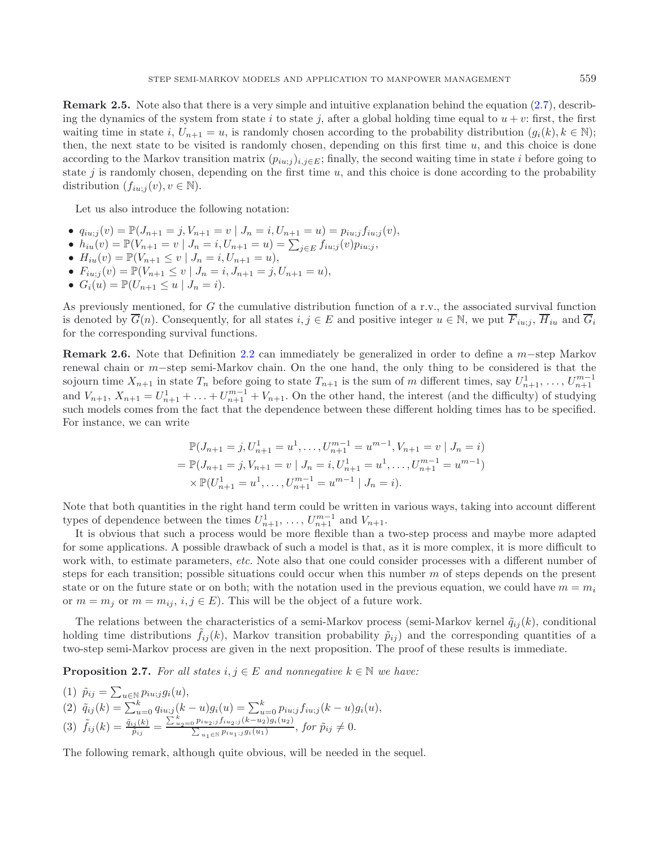**Remark 2.5.** Note also that there is a very simple and intuitive explanation behind the equation  $(2.7)$ , describing the dynamics of the system from state i to state j, after a global holding time equal to  $u + v$ : first, the first waiting time in state i,  $U_{n+1} = u$ , is randomly chosen according to the probability distribution  $(g_i(k), k \in \mathbb{N});$ then, the next state to be visited is randomly chosen, depending on this first time  $u$ , and this choice is done according to the Markov transition matrix  $(p_{iu:j})_{i,j \in E}$ ; finally, the second waiting time in state *i* before going to state  $j$  is randomly chosen, depending on the first time  $u$ , and this choice is done according to the probability distribution  $(f_{iu;j}(v), v \in \mathbb{N})$ .

<span id="page-4-0"></span>Let us also introduce the following notation:

- $q_{iu;j}(v) = \mathbb{P}(J_{n+1} = j, V_{n+1} = v \mid J_n = i, U_{n+1} = u) = p_{iu;j} f_{iu;j}(v),$
- $h_{iu}(v) = \mathbb{P}(V_{n+1} = v \mid J_n = i, U_{n+1} = u) = \sum_{j \in E} f_{iu;j}(v) p_{iu;j}$ <br>•  $H_{i}(v) = \mathbb{P}(V_{i+1} \le v \mid I_n = i, U_{i+1} = u)$
- $H_{iu}(v) = \mathbb{P}(V_{n+1} \le v \mid J_n = i, U_{n+1} = u),$
- $F_{i u;j}(v) = \mathbb{P}(V_{n+1} \leq v \mid J_n = i, J_{n+1} = j, U_{n+1} = u),$
- $G_i(u) = \mathbb{P}(U_{n+1} \le u \mid J_n = i).$

As previously mentioned, for G the cumulative distribution function of a r.v., the associated survival function is denoted by  $\overline{G}(n)$ . Consequently, for all states  $i, j \in E$  and positive integer  $u \in \mathbb{N}$ , we put  $\overline{F}_{i u; j}$ ,  $\overline{H}_{i u}$  and  $\overline{G}_{i}$ for the corresponding survival functions.

**Remark 2.6.** Note that Definition [2.2](#page-3-1) can immediately be generalized in order to define a m−step Markov renewal chain or m−step semi-Markov chain. On the one hand, the only thing to be considered is that the sojourn time  $X_{n+1}$  in state  $T_n$  before going to state  $T_{n+1}$  is the sum of m different times, say  $U_{n+1}^1, \ldots, U_{n+1}^{m-1}$ <br>and  $V_n$  is  $Y_{n+1}$ ,  $\ldots$   $U_1^{m-1}$  *n*  $U_1^{m-1}$  *n*  $V_n$ . On the other hand, the int and  $V_{n+1}$ ,  $X_{n+1} = U_{n+1}^1 + \ldots + U_{n+1}^{m-1} + V_{n+1}$ . On the other hand, the interest (and the difficulty) of studying<br>such models comes from the fact that the dependence between these different holding times has to be such models comes from the fact that the dependence between these different holding times has to be specified. For instance, we can write

$$
\mathbb{P}(J_{n+1} = j, U_{n+1}^1 = u^1, \dots, U_{n+1}^{m-1} = u^{m-1}, V_{n+1} = v | J_n = i)
$$
  
=  $\mathbb{P}(J_{n+1} = j, V_{n+1} = v | J_n = i, U_{n+1}^1 = u^1, \dots, U_{n+1}^{m-1} = u^{m-1})$   
 $\times \mathbb{P}(U_{n+1}^1 = u^1, \dots, U_{n+1}^{m-1} = u^{m-1} | J_n = i).$ 

Note that both quantities in the right hand term could be written in various ways, taking into account different types of dependence between the times  $U_{n+1}^1, \ldots, U_{n+1}^{m-1}$  and  $V_{n+1}$ .<br>It is obvious that such a process would be more flexible than a

It is obvious that such a process would be more flexible than a two-step process and maybe more adapted for some applications. A possible drawback of such a model is that, as it is more complex, it is more difficult to work with, to estimate parameters, *etc.* Note also that one could consider processes with a different number of steps for each transition; possible situations could occur when this number m of steps depends on the present state or on the future state or on both; with the notation used in the previous equation, we could have  $m = m_i$ or  $m = m_j$  or  $m = m_{ij}, i, j \in E$ ). This will be the object of a future work.

The relations between the characteristics of a semi-Markov process (semi-Markov kernel  $\tilde{q}_{ij}(k)$ , conditional holding time distributions  $f_{ij}(k)$ , Markov transition probability  $\tilde{p}_{ij}$  and the corresponding quantities of a two-step semi-Markov process are given in the next proposition. The proof of these results is immediate.

**Proposition 2.7.** *For all states*  $i, j \in E$  *and nonnegative*  $k \in \mathbb{N}$  *we have:* 

(1) 
$$
\tilde{p}_{ij} = \sum_{u \in \mathbb{N}} p_{iu;j} g_i(u),
$$
  
\n(2)  $\tilde{q}_{ij}(k) = \sum_{u=0}^{k} q_{iu;j}(k-u)g_i(u) = \sum_{u=0}^{k} p_{iu;j} f_{iu;j}(k-u)g_i(u),$   
\n(3)  $\tilde{f}_{ij}(k) = \frac{\tilde{q}_{ij}(k)}{\tilde{p}_{ij}} = \frac{\sum_{u_2=0}^{k} p_{iu_2;j} f_{iu_2;j}(k-u_2)g_i(u_2)}{\sum_{u_1 \in \mathbb{N}} p_{iu_1;j} g_i(u_1)}, \text{ for } \tilde{p}_{ij} \neq 0.$ 

The following remark, although quite obvious, will be needed in the sequel.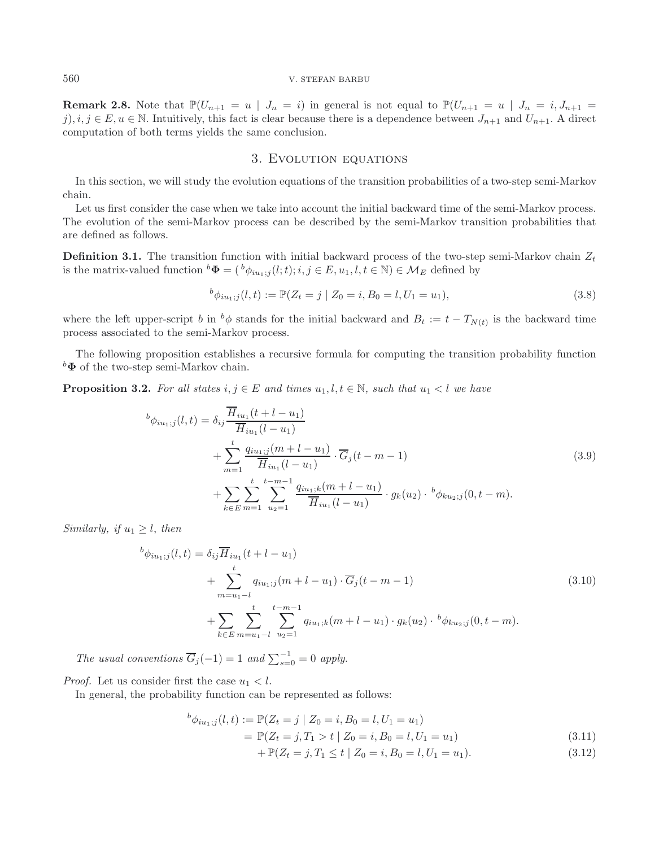**Remark 2.8.** Note that  $\mathbb{P}(U_{n+1} = u \mid J_n = i)$  in general is not equal to  $\mathbb{P}(U_{n+1} = u \mid J_n = i, J_{n+1} = i)$ j),  $i, j \in E, u \in \mathbb{N}$ . Intuitively, this fact is clear because there is a dependence between  $J_{n+1}$  and  $U_{n+1}$ . A direct computation of both terms yields the same conclusion.

## 3. Evolution equations

<span id="page-5-0"></span>In this section, we will study the evolution equations of the transition probabilities of a two-step semi-Markov chain.

Let us first consider the case when we take into account the initial backward time of the semi-Markov process. The evolution of the semi-Markov process can be described by the semi-Markov transition probabilities that are defined as follows.

**Definition 3.1.** The transition function with initial backward process of the two-step semi-Markov chain  $Z_t$ is the matrix-valued function  ${}^b\Phi = ({}^b\phi_{iu_1,j}(l;t); i,j \in E, u_1, l, t \in \mathbb{N}) \in \mathcal{M}_E$  defined by

$$
{}^{b}\phi_{iu_1;j}(l,t) := \mathbb{P}(Z_t = j \mid Z_0 = i, B_0 = l, U_1 = u_1), \tag{3.8}
$$

where the left upper-script b in  $^b\phi$  stands for the initial backward and  $B_t := t - T_{N(t)}$  is the backward time process associated to the semi-Markov process.

The following proposition establishes a recursive formula for computing the transition probability function *<sup>b</sup>***Φ** of the two-step semi-Markov chain.

<span id="page-5-2"></span>**Proposition 3.2.** For all states  $i, j \in E$  and times  $u_1, l, t \in \mathbb{N}$ , such that  $u_1 < l$  we have

$$
^{b}\phi_{iu_{1};j}(l,t) = \delta_{ij} \frac{\overline{H}_{iu_{1}}(t+l-u_{1})}{\overline{H}_{iu_{1}}(l-u_{1})} + \sum_{m=1}^{t} \frac{q_{iu_{1};j}(m+l-u_{1})}{\overline{H}_{iu_{1}}(l-u_{1})} \cdot \overline{G}_{j}(t-m-1) + \sum_{k \in E} \sum_{m=1}^{t} \sum_{u_{2}=1}^{t-m-1} \frac{q_{iu_{1};k}(m+l-u_{1})}{\overline{H}_{iu_{1}}(l-u_{1})} \cdot g_{k}(u_{2}) \cdot {}^{b}\phi_{ku_{2};j}(0,t-m).
$$
\n(3.9)

<span id="page-5-3"></span>*Similarly, if*  $u_1 \geq l$ *, then* 

$$
^{b}\phi_{iu_{1};j}(l,t) = \delta_{ij}\overline{H}_{iu_{1}}(t+l-u_{1})
$$
  
+ 
$$
\sum_{m=u_{1}-l}^{t} q_{iu_{1};j}(m+l-u_{1}) \cdot \overline{G}_{j}(t-m-1)
$$
  
+ 
$$
\sum_{k \in E} \sum_{m=u_{1}-l}^{t} \sum_{u_{2}=1}^{t-m-1} q_{iu_{1};k}(m+l-u_{1}) \cdot g_{k}(u_{2}) \cdot {}^{b}\phi_{ku_{2};j}(0,t-m).
$$
 (3.10)

*The usual conventions*  $\overline{G}_j(-1) = 1$  *and*  $\sum_{s=0}^{-1} = 0$  *apply.* 

*Proof.* Let us consider first the case  $u_1 < l$ .

<span id="page-5-1"></span>In general, the probability function can be represented as follows:

$$
{}^{b}\phi_{iu_1;j}(l,t) := \mathbb{P}(Z_t = j \mid Z_0 = i, B_0 = l, U_1 = u_1)
$$
\n
$$
\mathbb{P}(Z_t = j \mid Z_0 = i, B_0 = l, U_1 = u_1)
$$
\n
$$
(2.11)
$$

$$
= \mathbb{P}(Z_t = j, T_1 > t \mid Z_0 = i, B_0 = l, U_1 = u_1)
$$
\n(3.11)

+ 
$$
\mathbb{P}(Z_t = j, T_1 \le t | Z_0 = i, B_0 = l, U_1 = u_1).
$$
 (3.12)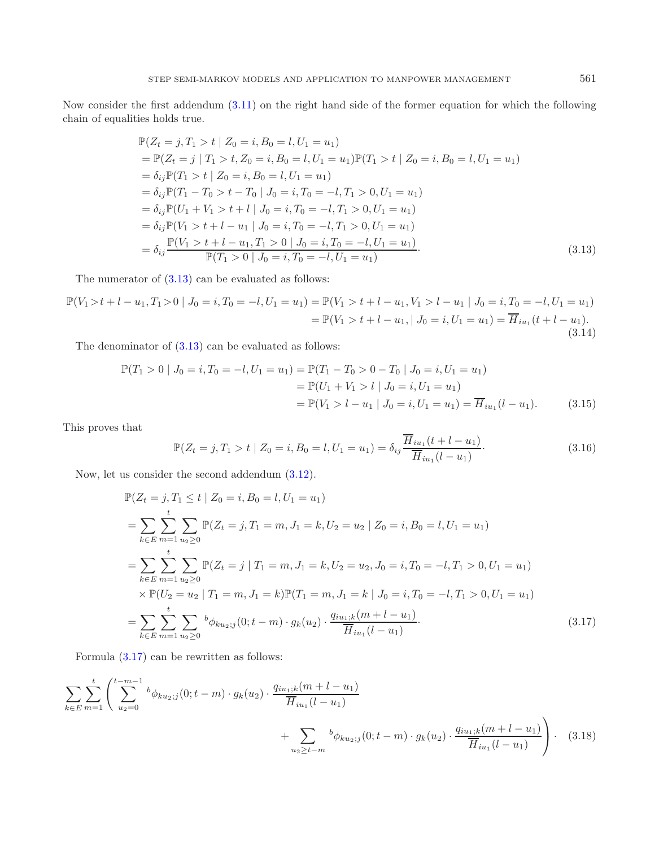Now consider the first addendum [\(3.11\)](#page-5-1) on the right hand side of the former equation for which the following chain of equalities holds true.

<span id="page-6-0"></span>
$$
\mathbb{P}(Z_t = j, T_1 > t \mid Z_0 = i, B_0 = l, U_1 = u_1)
$$
\n
$$
= \mathbb{P}(Z_t = j \mid T_1 > t, Z_0 = i, B_0 = l, U_1 = u_1) \mathbb{P}(T_1 > t \mid Z_0 = i, B_0 = l, U_1 = u_1)
$$
\n
$$
= \delta_{ij} \mathbb{P}(T_1 > t \mid Z_0 = i, B_0 = l, U_1 = u_1)
$$
\n
$$
= \delta_{ij} \mathbb{P}(T_1 - T_0 > t - T_0 \mid J_0 = i, T_0 = -l, T_1 > 0, U_1 = u_1)
$$
\n
$$
= \delta_{ij} \mathbb{P}(U_1 + V_1 > t + l \mid J_0 = i, T_0 = -l, T_1 > 0, U_1 = u_1)
$$
\n
$$
= \delta_{ij} \mathbb{P}(V_1 > t + l - u_1 \mid J_0 = i, T_0 = -l, T_1 > 0, U_1 = u_1)
$$
\n
$$
= \delta_{ij} \frac{\mathbb{P}(V_1 > t + l - u_1, T_1 > 0 \mid J_0 = i, T_0 = -l, U_1 = u_1)}{\mathbb{P}(T_1 > 0 \mid J_0 = i, T_0 = -l, U_1 = u_1)}.
$$
\n(3.13)

<span id="page-6-3"></span>The numerator of  $(3.13)$  can be evaluated as follows:

$$
\mathbb{P}(V_1 > t + l - u_1, T_1 > 0 | J_0 = i, T_0 = -l, U_1 = u_1) = \mathbb{P}(V_1 > t + l - u_1, V_1 > l - u_1 | J_0 = i, T_0 = -l, U_1 = u_1)
$$
  
=  $\mathbb{P}(V_1 > t + l - u_1, | J_0 = i, U_1 = u_1) = \overline{H}_{iu_1}(t + l - u_1).$  (3.14)

The denominator of  $(3.13)$  can be evaluated as follows:

$$
\mathbb{P}(T_1 > 0 | J_0 = i, T_0 = -l, U_1 = u_1) = \mathbb{P}(T_1 - T_0 > 0 - T_0 | J_0 = i, U_1 = u_1)
$$
  
\n
$$
= \mathbb{P}(U_1 + V_1 > l | J_0 = i, U_1 = u_1)
$$
  
\n
$$
= \mathbb{P}(V_1 > l - u_1 | J_0 = i, U_1 = u_1) = \overline{H}_{iu_1}(l - u_1).
$$
 (3.15)

This proves that

<span id="page-6-2"></span><span id="page-6-1"></span>
$$
\mathbb{P}(Z_t = j, T_1 > t \mid Z_0 = i, B_0 = l, U_1 = u_1) = \delta_{ij} \frac{\overline{H}_{iu_1}(t + l - u_1)}{\overline{H}_{iu_1}(l - u_1)}.
$$
\n(3.16)

Now, let us consider the second addendum [\(3.12\)](#page-5-1).

$$
\mathbb{P}(Z_t = j, T_1 \le t \mid Z_0 = i, B_0 = l, U_1 = u_1)
$$
\n
$$
= \sum_{k \in E} \sum_{m=1}^t \sum_{u_2 \ge 0} \mathbb{P}(Z_t = j, T_1 = m, J_1 = k, U_2 = u_2 \mid Z_0 = i, B_0 = l, U_1 = u_1)
$$
\n
$$
= \sum_{k \in E} \sum_{m=1}^t \sum_{u_2 \ge 0} \mathbb{P}(Z_t = j \mid T_1 = m, J_1 = k, U_2 = u_2, J_0 = i, T_0 = -l, T_1 > 0, U_1 = u_1)
$$
\n
$$
\times \mathbb{P}(U_2 = u_2 \mid T_1 = m, J_1 = k) \mathbb{P}(T_1 = m, J_1 = k \mid J_0 = i, T_0 = -l, T_1 > 0, U_1 = u_1)
$$
\n
$$
= \sum_{k \in E} \sum_{m=1}^t \sum_{u_2 \ge 0} \frac{b_{\phi_{ku_2}}(0; t - m) \cdot g_k(u_2) \cdot \frac{q_{iu_1;k}(m + l - u_1)}{\overline{H}_{iu_1}(l - u_1)}.
$$
\n(3.17)

Formula [\(3.17\)](#page-6-1) can be rewritten as follows:

$$
\sum_{k \in E} \sum_{m=1}^{t} \left( \sum_{u_2=0}^{t-m-1} {^{b} \phi_{ku_2;j}}(0; t-m) \cdot g_k(u_2) \cdot \frac{q_{iu_1;k}(m+l-u_1)}{\overline{H}_{iu_1}(l-u_1)} + \sum_{u_2 \geq t-m} {^{b} \phi_{ku_2;j}}(0; t-m) \cdot g_k(u_2) \cdot \frac{q_{iu_1;k}(m+l-u_1)}{\overline{H}_{iu_1}(l-u_1)} \right) \cdot (3.18)
$$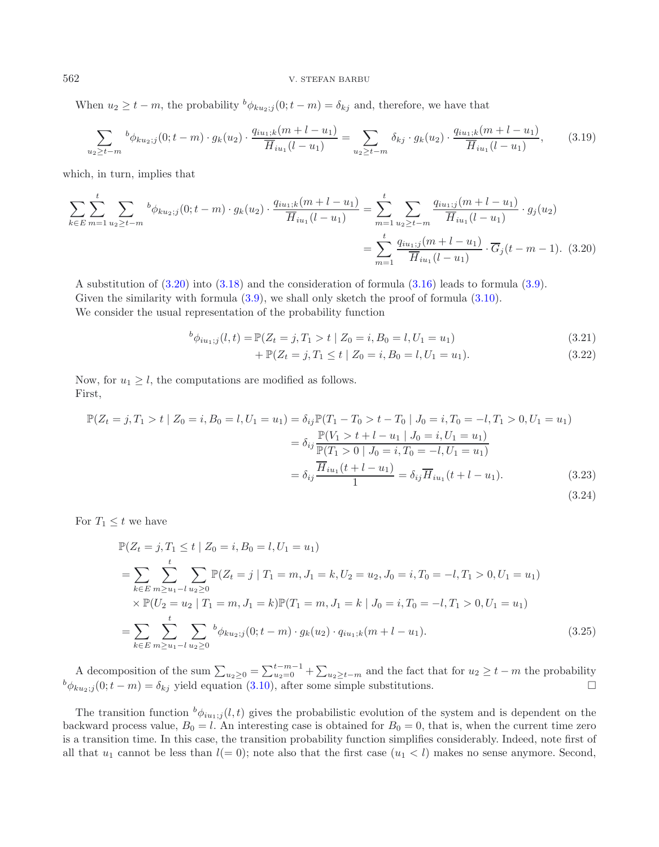When  $u_2 \geq t - m$ , the probability  ${}^b\phi_{ku_2;j}(0;t - m) = \delta_{kj}$  and, therefore, we have that

$$
\sum_{u_2 \ge t-m} {^b \phi_{ku_2;j}}(0; t-m) \cdot g_k(u_2) \cdot \frac{q_{iu_1;k}(m+l-u_1)}{\overline{H}_{iu_1}(l-u_1)} = \sum_{u_2 \ge t-m} \delta_{kj} \cdot g_k(u_2) \cdot \frac{q_{iu_1;k}(m+l-u_1)}{\overline{H}_{iu_1}(l-u_1)},
$$
(3.19)

which, in turn, implies that

$$
\sum_{k \in E} \sum_{m=1}^{t} \sum_{u_2 \ge t-m} {^b \phi_{ku_2;j}}(0; t-m) \cdot g_k(u_2) \cdot \frac{q_{iu_1;k}(m+l-u_1)}{\overline{H}_{iu_1}(l-u_1)} = \sum_{m=1}^{t} \sum_{u_2 \ge t-m} \frac{q_{iu_1;j}(m+l-u_1)}{\overline{H}_{iu_1}(l-u_1)} \cdot g_j(u_2)
$$

$$
= \sum_{m=1}^{t} \frac{q_{iu_1;j}(m+l-u_1)}{\overline{H}_{iu_1}(l-u_1)} \cdot \overline{G}_j(t-m-1). \tag{3.20}
$$

A substitution of [\(3.20\)](#page-7-0) into [\(3.18\)](#page-6-2) and the consideration of formula [\(3.16\)](#page-6-3) leads to formula [\(3.9\)](#page-5-2). Given the similarity with formula  $(3.9)$ , we shall only sketch the proof of formula  $(3.10)$ . We consider the usual representation of the probability function

$$
{}^{b}\phi_{iu_{1};j}(l,t) = \mathbb{P}(Z_t = j, T_1 > t \mid Z_0 = i, B_0 = l, U_1 = u_1)
$$
\n(3.21)

<span id="page-7-0"></span>+ 
$$
\mathbb{P}(Z_t = j, T_1 \le t \mid Z_0 = i, B_0 = l, U_1 = u_1).
$$
 (3.22)

(3.24)

Now, for  $u_1 \geq l$ , the computations are modified as follows. First,

$$
\mathbb{P}(Z_t = j, T_1 > t | Z_0 = i, B_0 = l, U_1 = u_1) = \delta_{ij} \mathbb{P}(T_1 - T_0 > t - T_0 | J_0 = i, T_0 = -l, T_1 > 0, U_1 = u_1)
$$
  
\n
$$
= \delta_{ij} \frac{\mathbb{P}(V_1 > t + l - u_1 | J_0 = i, U_1 = u_1)}{\mathbb{P}(T_1 > 0 | J_0 = i, T_0 = -l, U_1 = u_1)}
$$
  
\n
$$
= \delta_{ij} \frac{\overline{H}_{iu_1}(t + l - u_1)}{1} = \delta_{ij} \overline{H}_{iu_1}(t + l - u_1). \tag{3.23}
$$

For 
$$
T_1 \leq t
$$
 we have

$$
\mathbb{P}(Z_t = j, T_1 \le t \mid Z_0 = i, B_0 = l, U_1 = u_1)
$$
\n
$$
= \sum_{k \in E} \sum_{m \ge u_1 - l}^{t} \sum_{u_2 \ge 0} \mathbb{P}(Z_t = j \mid T_1 = m, J_1 = k, U_2 = u_2, J_0 = i, T_0 = -l, T_1 > 0, U_1 = u_1)
$$
\n
$$
\times \mathbb{P}(U_2 = u_2 \mid T_1 = m, J_1 = k) \mathbb{P}(T_1 = m, J_1 = k \mid J_0 = i, T_0 = -l, T_1 > 0, U_1 = u_1)
$$
\n
$$
= \sum_{k \in E} \sum_{m \ge u_1 - l}^{t} \sum_{u_2 \ge 0} \sum_{u_1 = u_2 \ge 0}^{t} \phi_{ku_2; j}(0; t - m) \cdot g_k(u_2) \cdot q_{iu_1; k}(m + l - u_1). \tag{3.25}
$$

A decomposition of the sum  $\sum_{u_2\geq 0} = \sum_{u_2\geq t-m}^{t-m-1} + \sum_{u_2\geq t-m}$  and the fact that for  $u_2 \geq t-m$  the probability  $b_{\phi_{k u_2;j}}(0;t-m) = \delta_{kj}$  yield equation [\(3.10\)](#page-5-3), after some simple substitutions.

The transition function  $^b\phi_{iu_1;j}(l,t)$  gives the probabilistic evolution of the system and is dependent on the backward process value,  $B_0 = l$ . An interesting case is obtained for  $B_0 = 0$ , that is, when the current time zero is a transition time. In this case, the transition probability function simplifies considerably. Indeed, note first of all that  $u_1$  cannot be less than  $l(= 0)$ ; note also that the first case  $(u_1 < l)$  makes no sense anymore. Second,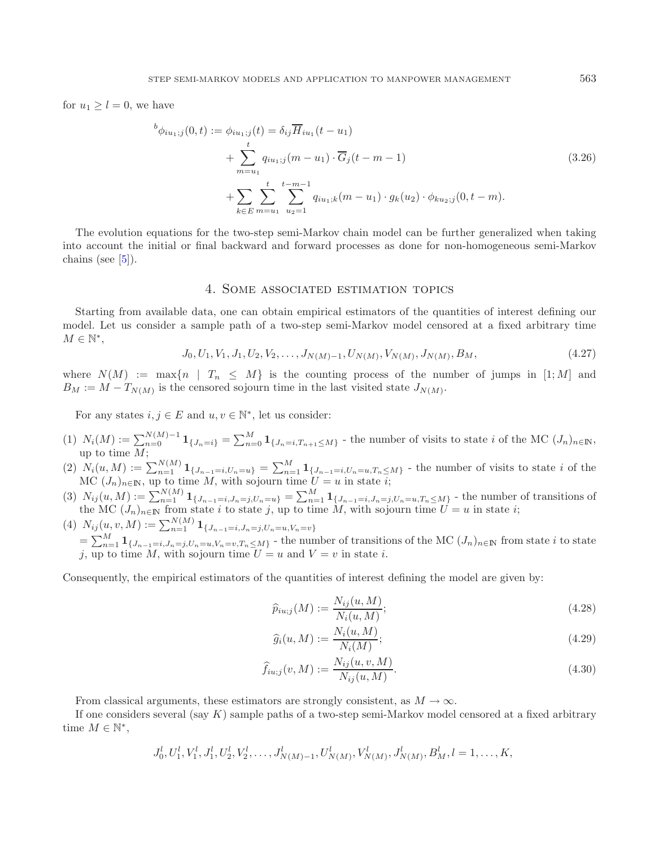for  $u_1 \geq l = 0$ , we have

$$
b_{\phi_{iu_1;j}}(0,t) := \phi_{iu_1;j}(t) = \delta_{ij}\overline{H}_{iu_1}(t-u_1)
$$
  
+ 
$$
\sum_{m=u_1}^{t} q_{iu_1;j}(m-u_1) \cdot \overline{G}_j(t-m-1)
$$
  
+ 
$$
\sum_{k \in E} \sum_{m=u_1}^{t} \sum_{u_2=1}^{t-m-1} q_{iu_1;k}(m-u_1) \cdot g_k(u_2) \cdot \phi_{ku_2;j}(0,t-m).
$$
 (3.26)

The evolution equations for the two-step semi-Markov chain model can be further generalized when taking into account the initial or final backward and forward processes as done for non-homogeneous semi-Markov chains (see  $[5]$ ).

## 4. Some associated estimation topics

<span id="page-8-0"></span>Starting from available data, one can obtain empirical estimators of the quantities of interest defining our model. Let us consider a sample path of a two-step semi-Markov model censored at a fixed arbitrary time  $M \in \mathbb{N}^*,$ 

$$
J_0, U_1, V_1, J_1, U_2, V_2, \dots, J_{N(M)-1}, U_{N(M)}, V_{N(M)}, J_{N(M)}, B_M,
$$
\n
$$
(4.27)
$$

where  $N(M) := \max\{n \mid T_n \leq M\}$  is the counting process of the number of jumps in [1; M] and  $B_M := M - T_{N(M)}$  is the censored sojourn time in the last visited state  $J_{N(M)}$ .

For any states  $i, j \in E$  and  $u, v \in \mathbb{N}^*$ , let us consider:

- (1)  $N_i(M) := \sum_{n=0}^{N(M)-1} \mathbf{1}_{\{J_n=i\}} = \sum_{n=0}^{M} \mathbf{1}_{\{J_n=i, T_{n+1}\leq M\}}$  the number of visits to state *i* of the MC  $(J_n)_{n\in\mathbb{N}}$ , up to time  $M$ ;<br> $N(\omega, M) := Y$
- (2)  $N_i(u, M) := \sum_{n=1}^{N(M)} 1_{\{J_{n-1} = i, U_n = u\}} = \sum_{n=1}^{M} 1_{\{J_{n-1} = i, U_n = u, T_n \leq M\}}$  the number of visits to state *i* of the MC (*I*) on up to time *M* with sojourn time  $U = u$  in state *i*. MC  $(J_n)_{n \in \mathbb{N}}$ , up to time M, with sojourn time  $U = u$  in state *i*;<br> $N(u, M)$ ,  $\sum_{i=1}^{N(M)} 1$
- (3)  $N_{ij}(u, M) := \sum_{n=1}^{N(M)} \mathbf{1}_{\{J_{n-1} = i, J_n = j, U_n = u\}} = \sum_{n=1}^{M} \mathbf{1}_{\{J_{n-1} = i, J_n = j, U_n = u, T_n \leq M\}}$  the number of transitions of the MC  $(J_n)_{n \in \mathbb{N}}$  from state *i* to state *j*, up to time *M*, with sojourn time  $U = u$  in state *i*;<br> $N(u, u, M)$ ,  $\sum_{i=1}^{N(M)} 1$
- $(N_i) N_{ij}(u, v, M) := \sum_{n=1}^{N(M)} \mathbf{1}_{\{J_{n-1}=i, J_n=j, U_n=u, V_n=v\}}$  $=\sum_{n=1}^{M} \mathbf{1}_{\{J_{n-1}=i,J_n=j,U_n=u,V_n=v,T_n\leq M\}}$  - the number of transitions of the MC  $(J_n)_{n\in\mathbb{N}}$  from state i to state i un to time M with solown time  $I_i = u$  and  $V = v$  in state i j, up to time M, with sojourn time  $U = u$  and  $V = v$  in state i.

Consequently, the empirical estimators of the quantities of interest defining the model are given by:

$$
\widehat{p}_{iu;j}(M) := \frac{N_{ij}(u, M)}{N_i(u, M)};
$$
\n(4.28)

$$
\widehat{g}_i(u, M) := \frac{N_i(u, M)}{N_i(M)};
$$
\n(4.29)

$$
\widehat{f}_{iu;j}(v,M) := \frac{N_{ij}(u,v,M)}{N_{ij}(u,M)}.
$$
\n(4.30)

From classical arguments, these estimators are strongly consistent, as  $M \to \infty$ .

If one considers several (say  $K$ ) sample paths of a two-step semi-Markov model censored at a fixed arbitrary time  $M \in \mathbb{N}^*$ ,

$$
J_0^l, U_1^l, V_1^l, J_1^l, U_2^l, V_2^l, \dots, J_{N(M)-1}^l, U_{N(M)}^l, V_{N(M)}^l, J_{N(M)}^l, B_M^l, l = 1, \dots, K,
$$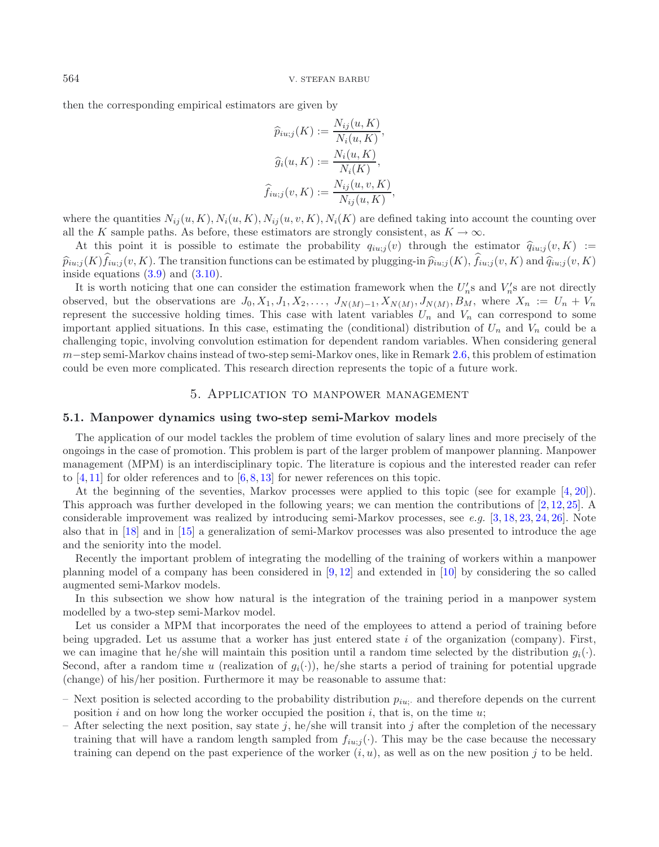then the corresponding empirical estimators are given by

$$
\widehat{p}_{iu;j}(K) := \frac{N_{ij}(u, K)}{N_i(u, K)},
$$

$$
\widehat{g}_i(u, K) := \frac{N_i(u, K)}{N_i(K)},
$$

$$
\widehat{f}_{iu;j}(v, K) := \frac{N_{ij}(u, v, K)}{N_{ij}(u, K)},
$$

where the quantities  $N_{ij}(u, K), N_i(u, K), N_{ij}(u, v, K), N_i(K)$  are defined taking into account the counting over all the K sample paths. As before, these estimators are strongly consistent, as  $K \to \infty$ .

At this point it is possible to estimate the probability  $q_{i u;j}(v)$  through the estimator  $\hat{q}_{i u;j}(v,K)$  :=  $\hat{p}_{iu;j}(K) f_{iu;j}(v,K)$ . The transition functions can be estimated by plugging-in  $\hat{p}_{iu;j}(K)$ ,  $f_{iu;j}(v,K)$  and  $\hat{q}_{iu;j}(v,K)$ <br>inside equations (3.9) and (3.10) inside equations  $(3.9)$  and  $(3.10)$ .

It is worth noticing that one can consider the estimation framework when the  $U_n$ 's and  $V_n$ 's are not directly<br>served but the observations are  $I_2$ ,  $X_1$ ,  $X_2$ ,  $I_3$ ,  $X_3$ ,  $I_4$ ,  $X_5$ ,  $I_5$ ,  $X_6$ ,  $I_7$ ,  $I_8$ , observed, but the observations are  $J_0, X_1, J_1, X_2, \ldots, J_{N(M)-1}, X_{N(M)}, J_{N(M)}, B_M$ , where  $X_n := U_n + V_n$ represent the successive holding times. This case with latent variables  $U_n$  and  $V_n$  can correspond to some important applied situations. In this case, estimating the (conditional) distribution of  $U_n$  and  $V_n$  could be a challenging topic, involving convolution estimation for dependent random variables. When considering general m−step semi-Markov chains instead of two-step semi-Markov ones, like in Remark [2.6,](#page-4-0) this problem of estimation could be even more complicated. This research direction represents the topic of a future work.

#### 5. Application to manpower management

#### <span id="page-9-0"></span>**5.1. Manpower dynamics using two-step semi-Markov models**

The application of our model tackles the problem of time evolution of salary lines and more precisely of the ongoings in the case of promotion. This problem is part of the larger problem of manpower planning. Manpower management (MPM) is an interdisciplinary topic. The literature is copious and the interested reader can refer to  $[4, 11]$  $[4, 11]$  $[4, 11]$  for older references and to  $[6, 8, 13]$  $[6, 8, 13]$  $[6, 8, 13]$  $[6, 8, 13]$  $[6, 8, 13]$  $[6, 8, 13]$  for newer references on this topic.

At the beginning of the seventies, Markov processes were applied to this topic (see for example [\[4](#page-16-14), [20](#page-16-18)]). This approach was further developed in the following years; we can mention the contributions of [\[2,](#page-16-19) [12,](#page-16-20) [25\]](#page-16-21). A considerable improvement was realized by introducing semi-Markov processes, see *e.g.* [\[3,](#page-16-22) [18,](#page-16-23) [23](#page-16-24), [24,](#page-16-10) [26](#page-16-25)]. Note also that in [\[18](#page-16-23)] and in [\[15\]](#page-16-26) a generalization of semi-Markov processes was also presented to introduce the age and the seniority into the model.

Recently the important problem of integrating the modelling of the training of workers within a manpower planning model of a company has been considered in [\[9](#page-16-27), [12\]](#page-16-20) and extended in [\[10](#page-16-4)] by considering the so called augmented semi-Markov models.

In this subsection we show how natural is the integration of the training period in a manpower system modelled by a two-step semi-Markov model.

Let us consider a MPM that incorporates the need of the employees to attend a period of training before being upgraded. Let us assume that a worker has just entered state  $i$  of the organization (company). First, we can imagine that he/she will maintain this position until a random time selected by the distribution  $q_i(\cdot)$ . Second, after a random time u (realization of  $g_i(\cdot)$ ), he/she starts a period of training for potential upgrade (change) of his/her position. Furthermore it may be reasonable to assume that:

- Next position is selected according to the probability distribution <sup>p</sup>*iu*;· and therefore depends on the current position i and on how long the worker occupied the position i, that is, on the time  $u$ ;
- After selecting the next position, say state j, he/she will transit into j after the completion of the necessary training that will have a random length sampled from  $f_{i u;j}(\cdot)$ . This may be the case because the necessary training can depend on the past experience of the worker  $(i, u)$ , as well as on the new position j to be held.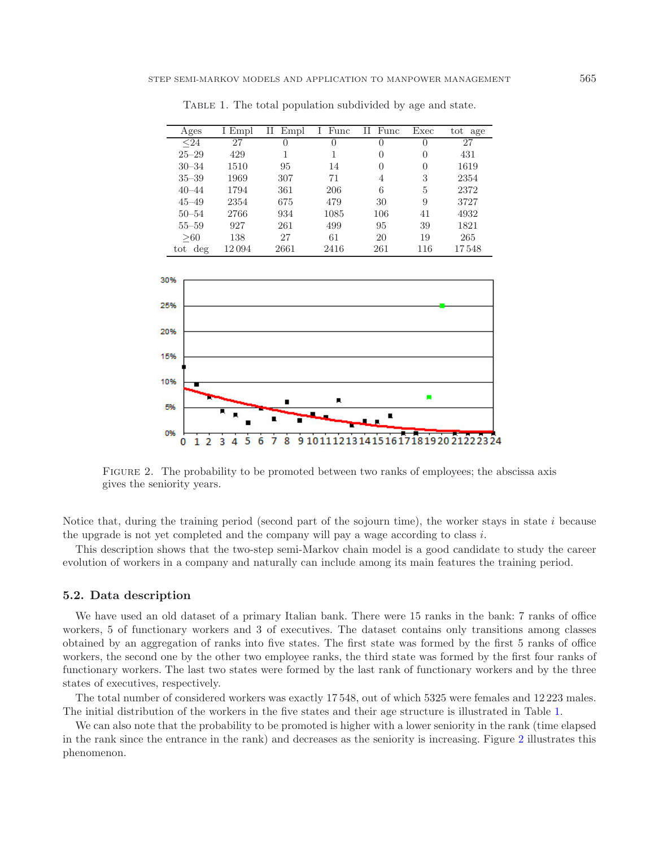| Ages      | I Empl | П<br>Empl | Func<br>L | П<br>Func        | Exec         | tot age |
|-----------|--------|-----------|-----------|------------------|--------------|---------|
| $24$      | 27     | $\theta$  | $\Omega$  | $\left( \right)$ | $\mathbf{0}$ | 27      |
| $25 - 29$ | 429    |           |           | 0                | 0            | 431     |
| $30 - 34$ | 1510   | 95        | 14        | 0                | 0            | 1619    |
| $35 - 39$ | 1969   | 307       | 71        | 4                | 3            | 2354    |
| $40 - 44$ | 1794   | 361       | 206       | 6                | 5            | 2372    |
| $45 - 49$ | 2354   | 675       | 479       | 30               | 9            | 3727    |
| $50 - 54$ | 2766   | 934       | 1085      | 106              | 41           | 4932    |
| $55 - 59$ | 927    | 261       | 499       | 95               | 39           | 1821    |
| >60       | 138    | 27        | 61        | 20               | 19           | 265     |
| tot deg   | 12 094 | 2661      | 2416      | 261              | 116          | 17548   |

<span id="page-10-0"></span>TABLE 1. The total population subdivided by age and state.

<span id="page-10-1"></span>

FIGURE 2. The probability to be promoted between two ranks of employees; the abscissa axis gives the seniority years.

Notice that, during the training period (second part of the sojourn time), the worker stays in state  $i$  because the upgrade is not yet completed and the company will pay a wage according to class  $i$ .

This description shows that the two-step semi-Markov chain model is a good candidate to study the career evolution of workers in a company and naturally can include among its main features the training period.

#### **5.2. Data description**

We have used an old dataset of a primary Italian bank. There were 15 ranks in the bank: 7 ranks of office workers, 5 of functionary workers and 3 of executives. The dataset contains only transitions among classes obtained by an aggregation of ranks into five states. The first state was formed by the first 5 ranks of office workers, the second one by the other two employee ranks, the third state was formed by the first four ranks of functionary workers. The last two states were formed by the last rank of functionary workers and by the three states of executives, respectively.

The total number of considered workers was exactly 17 548, out of which 5325 were females and 12 223 males. The initial distribution of the workers in the five states and their age structure is illustrated in Table [1.](#page-10-0)

We can also note that the probability to be promoted is higher with a lower seniority in the rank (time elapsed in the rank since the entrance in the rank) and decreases as the seniority is increasing. Figure [2](#page-10-1) illustrates this phenomenon.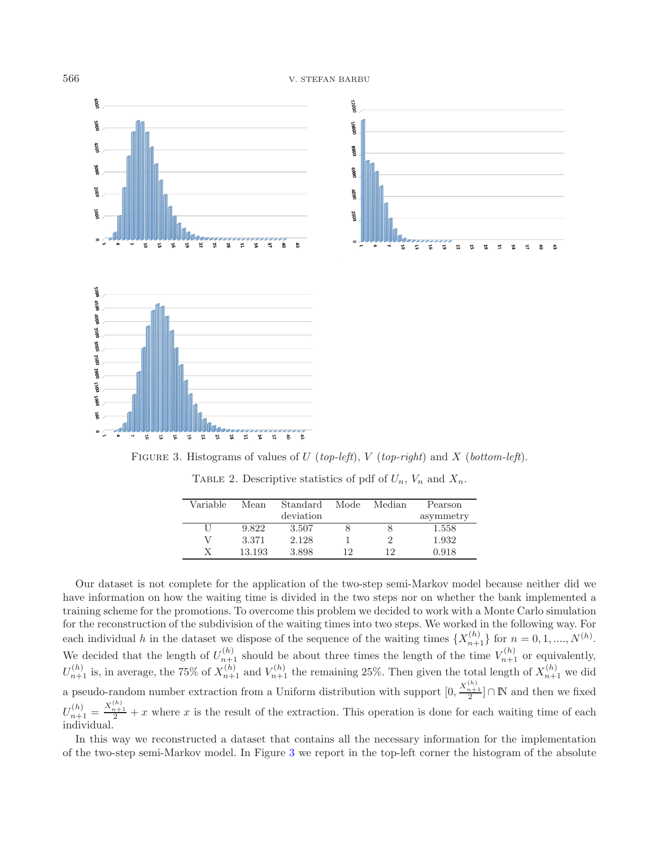



<span id="page-11-0"></span>Figure 3. Histograms of values of U (*top-left*), V (*top-right*) and X (*bottom-left*).

| Variable | Mean   | Standard  | Mode | Median | Pearson   |
|----------|--------|-----------|------|--------|-----------|
|          |        | deviation |      |        | asymmetry |
|          | 9.822  | 3.507     |      |        | 1.558     |
|          | 3.371  | 2.128     |      | 2      | 1.932     |
|          | 13.193 | 3.898     | 12   | 12     | 0.918     |

TABLE 2. Descriptive statistics of pdf of  $U_n$ ,  $V_n$  and  $X_n$ .

Our dataset is not complete for the application of the two-step semi-Markov model because neither did we have information on how the waiting time is divided in the two steps nor on whether the bank implemented a training scheme for the promotions. To overcome this problem we decided to work with a Monte Carlo simulation for the reconstruction of the subdivision of the waiting times into two steps. We worked in the following way. For each individual h in the dataset we dispose of the sequence of the waiting times  $\{X_{n+1}^{(h)}\}$  for  $n = 0, 1, ..., N^{(h)}$ . We decided that the length of  $U_{n+1}^{(h)}$  should be about three times the length of the time  $V_{n+1}^{(h)}$  or equivalently,  $U_{n+1}^{(h)}$  is, in average, the 75% of  $X_{n+1}^{(h)}$  and  $V_{n+1}^{(h)}$  the remaining 25%. Then given the total length of  $X_{n+1}^{(h)}$  we did a pseudo-random number extraction from a Uniform distribution with support  $[0,$  $\frac{X_{n+1}^{(h)}}{2}$  ∩ **N** and then we fixed  $U_{n+1}^{(h)} = \frac{X_{n+1}^{(h)}}{2} + x$  where x is the result of the extraction. This operation is done for each waiting time of each individual individual.

In this way we reconstructed a dataset that contains all the necessary information for the implementation of the two-step semi-Markov model. In Figure [3](#page-11-0) we report in the top-left corner the histogram of the absolute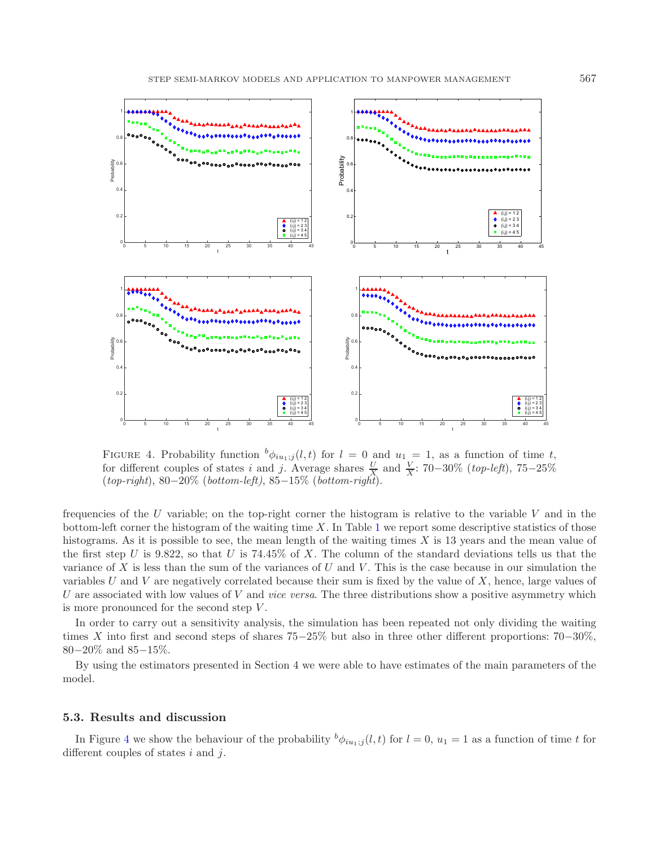

<span id="page-12-0"></span>FIGURE 4. Probability function  ${}^b\phi_{iu_1;j}(l,t)$  for  $l = 0$  and  $u_1 = 1$ , as a function of time t, for different couples of states i and j. Average shares  $\frac{V}{X}$  and  $\frac{V}{X}$ : 70−30% (*top-left*), 75−25% (*top-right*). 80−20% (*bottom-left*), 85−15% (*bottom-right*). (*top-right*), 80−20% (*bottom-left)*, 85−15% (*bottom-right*).

frequencies of the U variable; on the top-right corner the histogram is relative to the variable V and in the bottom-left corner the histogram of the waiting time X. In Table [1](#page-10-0) we report some descriptive statistics of those histograms. As it is possible to see, the mean length of the waiting times X is 13 years and the mean value of the first step U is 9.822, so that U is 74.45% of X. The column of the standard deviations tells us that the variance of  $X$  is less than the sum of the variances of  $U$  and  $V$ . This is the case because in our simulation the variables  $U$  and  $V$  are negatively correlated because their sum is fixed by the value of  $X$ , hence, large values of U are associated with low values of V and *vice versa*. The three distributions show a positive asymmetry which is more pronounced for the second step  $V$ .

In order to carry out a sensitivity analysis, the simulation has been repeated not only dividing the waiting times X into first and second steps of shares 75−25% but also in three other different proportions: 70−30%, 80−20% and 85−15%.

By using the estimators presented in Section 4 we were able to have estimates of the main parameters of the model.

#### **5.3. Results and discussion**

In Figure [4](#page-12-0) we show the behaviour of the probability  $^b\phi_{iu_1;j}(l,t)$  for  $l=0$ ,  $u_1=1$  as a function of time t for different couples of states  $i$  and  $j$ .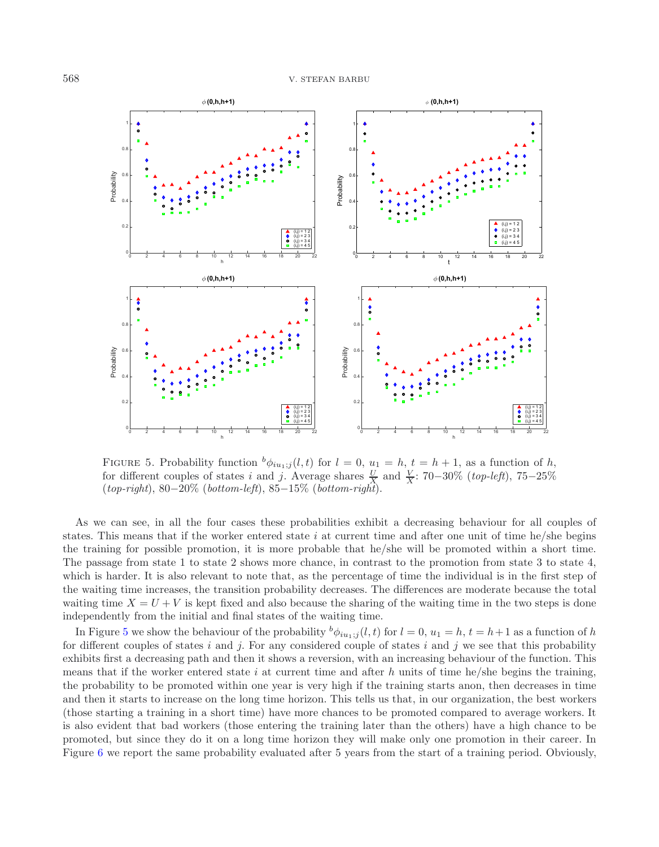

<span id="page-13-0"></span>FIGURE 5. Probability function  ${}^b\phi_{iu_1;j}(l,t)$  for  $l = 0$ ,  $u_1 = h$ ,  $t = h + 1$ , as a function of h, for different couples of states i and j. Average shares  $\frac{V}{X}$  and  $\frac{V}{X}$ : 70−30% (*top-left*), 75−25% (*top-right*). 80−20% (*bottom-left*), 85−15% (*bottom-right*). (*top-right*), 80−20% (*bottom-left*), 85−15% (*bottom-right*).

As we can see, in all the four cases these probabilities exhibit a decreasing behaviour for all couples of states. This means that if the worker entered state i at current time and after one unit of time he/she begins the training for possible promotion, it is more probable that he/she will be promoted within a short time. The passage from state 1 to state 2 shows more chance, in contrast to the promotion from state 3 to state 4, which is harder. It is also relevant to note that, as the percentage of time the individual is in the first step of the waiting time increases, the transition probability decreases. The differences are moderate because the total waiting time  $X = U + V$  is kept fixed and also because the sharing of the waiting time in the two steps is done independently from the initial and final states of the waiting time.

In Figure [5](#page-13-0) we show the behaviour of the probability  $^b\phi_{iu_1;j}(l,t)$  for  $l=0$ ,  $u_1=h, t=h+1$  as a function of h for different couples of states i and j. For any considered couple of states i and j we see that this probability exhibits first a decreasing path and then it shows a reversion, with an increasing behaviour of the function. This means that if the worker entered state i at current time and after h units of time he/she begins the training, the probability to be promoted within one year is very high if the training starts anon, then decreases in time and then it starts to increase on the long time horizon. This tells us that, in our organization, the best workers (those starting a training in a short time) have more chances to be promoted compared to average workers. It is also evident that bad workers (those entering the training later than the others) have a high chance to be promoted, but since they do it on a long time horizon they will make only one promotion in their career. In Figure [6](#page-14-0) we report the same probability evaluated after 5 years from the start of a training period. Obviously,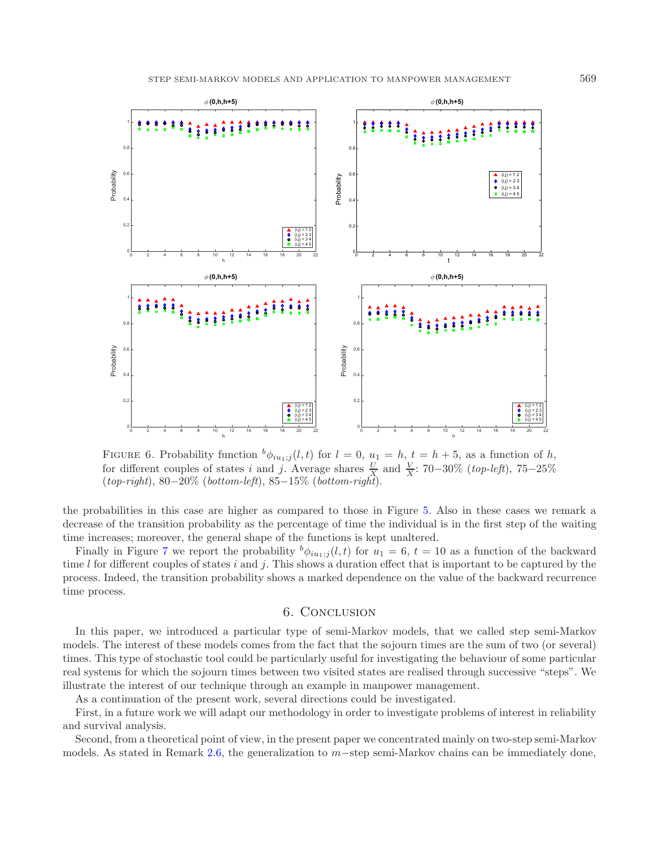

<span id="page-14-0"></span>FIGURE 6. Probability function  ${}^b\phi_{iu_1;j}(l,t)$  for  $l = 0$ ,  $u_1 = h$ ,  $t = h + 5$ , as a function of h, for different couples of states *i*, and *i*, Average shares  $\mathcal{L}$  and  $\mathcal{L}$ . 70–30% *(top left*), 75–25% for different couples of states i and j. Average shares  $\frac{V}{X}$  and  $\frac{V}{X}$ : 70−30% (*top-left*), 75−25% (*top-right*). 80−20% (*bottom-left*), 85−15% (*bottom-right*). (*top-right*), 80−20% (*bottom-left*), 85−15% (*bottom-right*).

the probabilities in this case are higher as compared to those in Figure [5.](#page-13-0) Also in these cases we remark a decrease of the transition probability as the percentage of time the individual is in the first step of the waiting time increases; moreover, the general shape of the functions is kept unaltered.

Finally in Figure [7](#page-15-0) we report the probability  $^b\phi_{iu_1;j}(l,t)$  for  $u_1 = 6$ ,  $t = 10$  as a function of the backward time  $l$  for different couples of states i and j. This shows a duration effect that is important to be captured by the process. Indeed, the transition probability shows a marked dependence on the value of the backward recurrence time process.

#### 6. Conclusion

In this paper, we introduced a particular type of semi-Markov models, that we called step semi-Markov models. The interest of these models comes from the fact that the sojourn times are the sum of two (or several) times. This type of stochastic tool could be particularly useful for investigating the behaviour of some particular real systems for which the sojourn times between two visited states are realised through successive "steps". We illustrate the interest of our technique through an example in manpower management.

As a continuation of the present work, several directions could be investigated.

First, in a future work we will adapt our methodology in order to investigate problems of interest in reliability and survival analysis.

Second, from a theoretical point of view, in the present paper we concentrated mainly on two-step semi-Markov models. As stated in Remark [2.6,](#page-4-0) the generalization to m−step semi-Markov chains can be immediately done,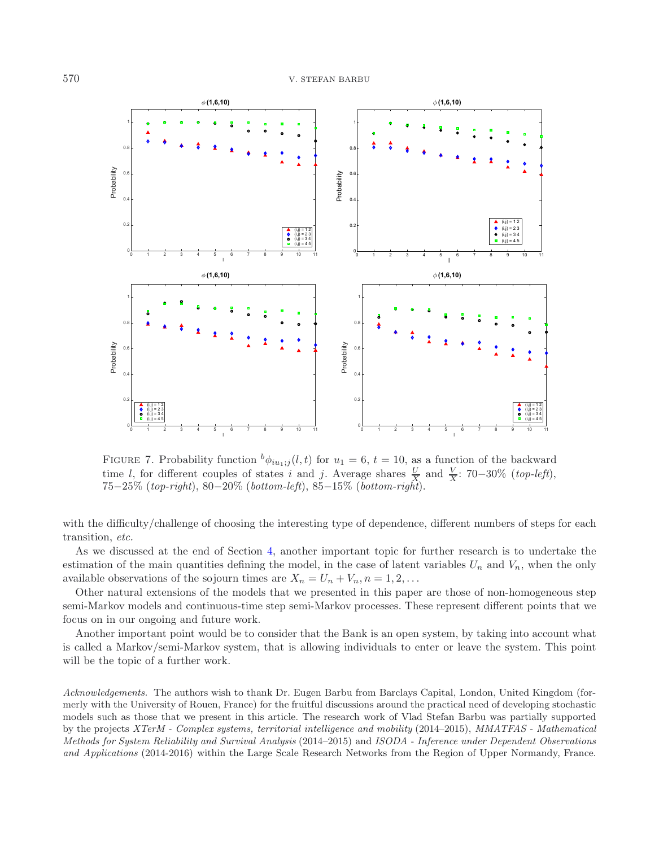

<span id="page-15-0"></span>FIGURE 7. Probability function  $^b\phi_{iu_1;j}(l,t)$  for  $u_1 = 6$ ,  $t = 10$ , as a function of the backward time l, for different couples of states i and j. Average shares  $\frac{V}{X}$  and  $\frac{V}{X}$ : 70–30% (*top-left*),<br>75–25% (*ton-right*), 80–20% (*bottom-left*), 85–15% (*bottom-right*). 75−25% (*top-right*), 80−20% (*bottom-left*), 85−15% (*bottom-right*).

with the difficulty/challenge of choosing the interesting type of dependence, different numbers of steps for each transition, *etc.*

As we discussed at the end of Section [4,](#page-8-0) another important topic for further research is to undertake the estimation of the main quantities defining the model, in the case of latent variables  $U_n$  and  $V_n$ , when the only available observations of the sojourn times are  $X_n = U_n + V_n, n = 1, 2, \ldots$ 

Other natural extensions of the models that we presented in this paper are those of non-homogeneous step semi-Markov models and continuous-time step semi-Markov processes. These represent different points that we focus on in our ongoing and future work.

Another important point would be to consider that the Bank is an open system, by taking into account what is called a Markov/semi-Markov system, that is allowing individuals to enter or leave the system. This point will be the topic of a further work.

*Acknowledgements.* The authors wish to thank Dr. Eugen Barbu from Barclays Capital, London, United Kingdom (formerly with the University of Rouen, France) for the fruitful discussions around the practical need of developing stochastic models such as those that we present in this article. The research work of Vlad Stefan Barbu was partially supported by the projects *XTerM - Complex systems, territorial intelligence and mobility* (2014–2015), *MMATFAS - Mathematical Methods for System Reliability and Survival Analysis* (2014–2015) and *ISODA - Inference under Dependent Observations and Applications* (2014-2016) within the Large Scale Research Networks from the Region of Upper Normandy, France.